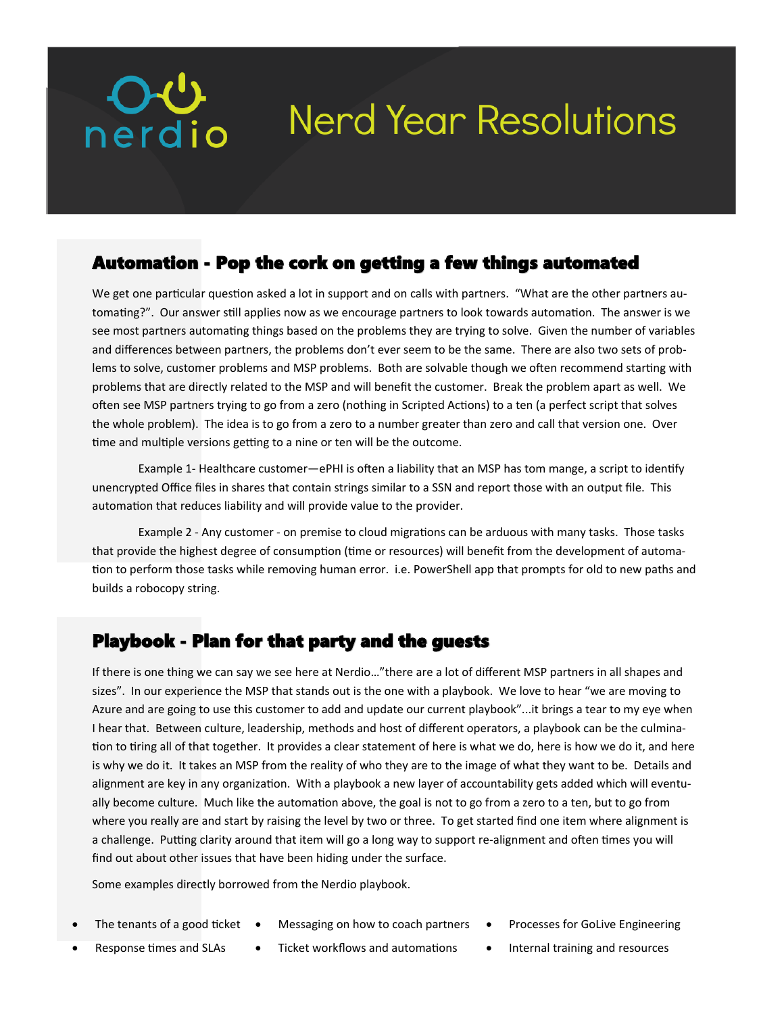# **Nerd Year Resolutions**

#### Automation - Pop the cork on getting a few things automated

We get one particular question asked a lot in support and on calls with partners. "What are the other partners automating?". Our answer still applies now as we encourage partners to look towards automation. The answer is we see most partners automating things based on the problems they are trying to solve. Given the number of variables and differences between partners, the problems don't ever seem to be the same. There are also two sets of problems to solve, customer problems and MSP problems. Both are solvable though we often recommend starting with problems that are directly related to the MSP and will benefit the customer. Break the problem apart as well. We often see MSP partners trying to go from a zero (nothing in Scripted Actions) to a ten (a perfect script that solves the whole problem). The idea is to go from a zero to a number greater than zero and call that version one. Over time and multiple versions getting to a nine or ten will be the outcome.

Example 1- Healthcare customer—ePHI is often a liability that an MSP has tom mange, a script to identify unencrypted Office files in shares that contain strings similar to a SSN and report those with an output file. This automation that reduces liability and will provide value to the provider.

Example 2 - Any customer - on premise to cloud migrations can be arduous with many tasks. Those tasks that provide the highest degree of consumption (time or resources) will benefit from the development of automation to perform those tasks while removing human error. i.e. PowerShell app that prompts for old to new paths and builds a robocopy string.

## Playbook - Plan for that party and the guests

If there is one thing we can say we see here at Nerdio…"there are a lot of different MSP partners in all shapes and sizes". In our experience the MSP that stands out is the one with a playbook. We love to hear "we are moving to Azure and are going to use this customer to add and update our current playbook"...it brings a tear to my eye when I hear that. Between culture, leadership, methods and host of different operators, a playbook can be the culmination to tiring all of that together. It provides a clear statement of here is what we do, here is how we do it, and here is why we do it. It takes an MSP from the reality of who they are to the image of what they want to be. Details and alignment are key in any organization. With a playbook a new layer of accountability gets added which will eventually become culture. Much like the automation above, the goal is not to go from a zero to a ten, but to go from where you really are and start by raising the level by two or three. To get started find one item where alignment is a challenge. Putting clarity around that item will go a long way to support re-alignment and often times you will find out about other issues that have been hiding under the surface.

Some examples directly borrowed from the Nerdio playbook.

**OU**<br>nerdio

- The tenants of a good ticket Messaging on how to coach partners Processes for GoLive Engineering
	-

- 
- Response times and SLAs Ticket workflows and automations Internal training and resources
	-